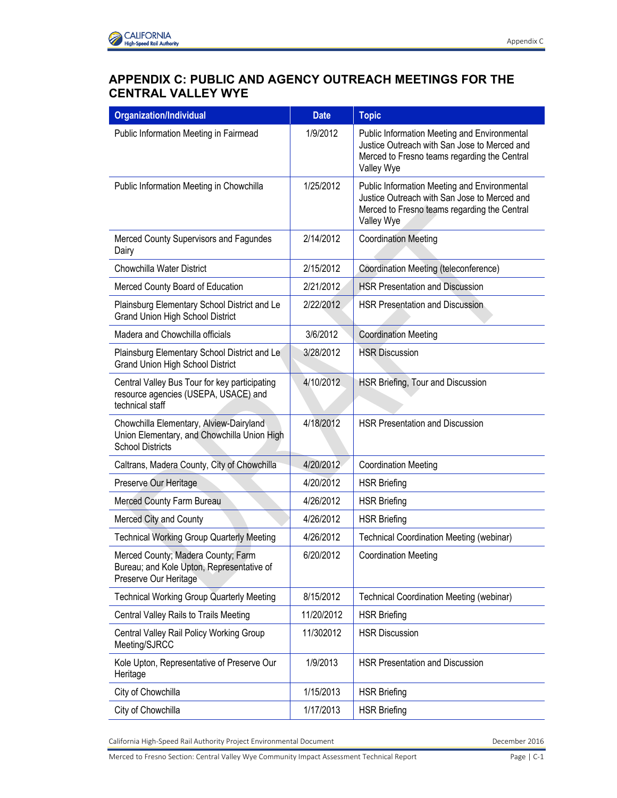| <b>Organization/Individual</b>                                                                                    | <b>Date</b> | <b>Topic</b>                                                                                                                                               |
|-------------------------------------------------------------------------------------------------------------------|-------------|------------------------------------------------------------------------------------------------------------------------------------------------------------|
| Public Information Meeting in Fairmead                                                                            | 1/9/2012    | Public Information Meeting and Environmental<br>Justice Outreach with San Jose to Merced and<br>Merced to Fresno teams regarding the Central<br>Valley Wye |
| Public Information Meeting in Chowchilla                                                                          | 1/25/2012   | Public Information Meeting and Environmental<br>Justice Outreach with San Jose to Merced and<br>Merced to Fresno teams regarding the Central<br>Valley Wye |
| Merced County Supervisors and Fagundes<br>Dairy                                                                   | 2/14/2012   | <b>Coordination Meeting</b>                                                                                                                                |
| Chowchilla Water District                                                                                         | 2/15/2012   | Coordination Meeting (teleconference)                                                                                                                      |
| Merced County Board of Education                                                                                  | 2/21/2012   | <b>HSR Presentation and Discussion</b>                                                                                                                     |
| Plainsburg Elementary School District and Le<br><b>Grand Union High School District</b>                           | 2/22/2012   | <b>HSR Presentation and Discussion</b>                                                                                                                     |
| Madera and Chowchilla officials                                                                                   | 3/6/2012    | <b>Coordination Meeting</b>                                                                                                                                |
| Plainsburg Elementary School District and Le<br><b>Grand Union High School District</b>                           | 3/28/2012   | <b>HSR Discussion</b>                                                                                                                                      |
| Central Valley Bus Tour for key participating<br>resource agencies (USEPA, USACE) and<br>technical staff          | 4/10/2012   | HSR Briefing, Tour and Discussion                                                                                                                          |
| Chowchilla Elementary, Alview-Dairyland<br>Union Elementary, and Chowchilla Union High<br><b>School Districts</b> | 4/18/2012   | <b>HSR Presentation and Discussion</b>                                                                                                                     |
| Caltrans, Madera County, City of Chowchilla                                                                       | 4/20/2012   | <b>Coordination Meeting</b>                                                                                                                                |
| Preserve Our Heritage                                                                                             | 4/20/2012   | <b>HSR Briefing</b>                                                                                                                                        |
| Merced County Farm Bureau                                                                                         | 4/26/2012   | <b>HSR Briefing</b>                                                                                                                                        |
| Merced City and County                                                                                            | 4/26/2012   | <b>HSR Briefing</b>                                                                                                                                        |
| <b>Technical Working Group Quarterly Meeting</b>                                                                  | 4/26/2012   | <b>Technical Coordination Meeting (webinar)</b>                                                                                                            |
| Merced County; Madera County; Farm<br>Bureau; and Kole Upton, Representative of<br>Preserve Our Heritage          | 6/20/2012   | <b>Coordination Meeting</b>                                                                                                                                |
| <b>Technical Working Group Quarterly Meeting</b>                                                                  | 8/15/2012   | <b>Technical Coordination Meeting (webinar)</b>                                                                                                            |
| Central Valley Rails to Trails Meeting                                                                            | 11/20/2012  | <b>HSR Briefing</b>                                                                                                                                        |
| Central Valley Rail Policy Working Group<br>Meeting/SJRCC                                                         | 11/302012   | <b>HSR Discussion</b>                                                                                                                                      |
| Kole Upton, Representative of Preserve Our<br>Heritage                                                            | 1/9/2013    | <b>HSR Presentation and Discussion</b>                                                                                                                     |
| City of Chowchilla                                                                                                | 1/15/2013   | <b>HSR Briefing</b>                                                                                                                                        |
| City of Chowchilla                                                                                                | 1/17/2013   | <b>HSR Briefing</b>                                                                                                                                        |

California High-Speed Rail Authority Project Environmental Document **December 2016** December 2016

Merced to Fresno Section: Central Valley Wye Community Impact Assessment Technical Report Page | C-1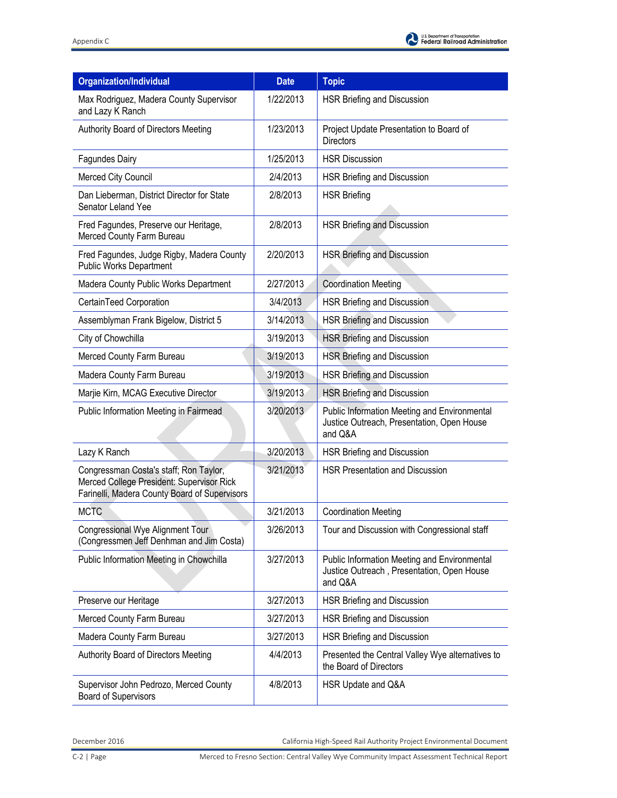| <b>Organization/Individual</b>                                                                                                       | <b>Date</b> | <b>Topic</b>                                                                                          |
|--------------------------------------------------------------------------------------------------------------------------------------|-------------|-------------------------------------------------------------------------------------------------------|
| Max Rodriguez, Madera County Supervisor<br>and Lazy K Ranch                                                                          | 1/22/2013   | HSR Briefing and Discussion                                                                           |
| Authority Board of Directors Meeting                                                                                                 | 1/23/2013   | Project Update Presentation to Board of<br><b>Directors</b>                                           |
| Fagundes Dairy                                                                                                                       | 1/25/2013   | <b>HSR Discussion</b>                                                                                 |
| Merced City Council                                                                                                                  | 2/4/2013    | HSR Briefing and Discussion                                                                           |
| Dan Lieberman, District Director for State<br>Senator Leland Yee                                                                     | 2/8/2013    | <b>HSR Briefing</b>                                                                                   |
| Fred Fagundes, Preserve our Heritage,<br>Merced County Farm Bureau                                                                   | 2/8/2013    | <b>HSR Briefing and Discussion</b>                                                                    |
| Fred Fagundes, Judge Rigby, Madera County<br><b>Public Works Department</b>                                                          | 2/20/2013   | <b>HSR Briefing and Discussion</b>                                                                    |
| Madera County Public Works Department                                                                                                | 2/27/2013   | <b>Coordination Meeting</b>                                                                           |
| CertainTeed Corporation                                                                                                              | 3/4/2013    | HSR Briefing and Discussion                                                                           |
| Assemblyman Frank Bigelow, District 5                                                                                                | 3/14/2013   | HSR Briefing and Discussion                                                                           |
| City of Chowchilla                                                                                                                   | 3/19/2013   | <b>HSR Briefing and Discussion</b>                                                                    |
| Merced County Farm Bureau                                                                                                            | 3/19/2013   | HSR Briefing and Discussion                                                                           |
| Madera County Farm Bureau                                                                                                            | 3/19/2013   | <b>HSR Briefing and Discussion</b>                                                                    |
| Marjie Kirn, MCAG Executive Director                                                                                                 | 3/19/2013   | <b>HSR Briefing and Discussion</b>                                                                    |
| Public Information Meeting in Fairmead                                                                                               | 3/20/2013   | Public Information Meeting and Environmental<br>Justice Outreach, Presentation, Open House<br>and Q&A |
| Lazy K Ranch                                                                                                                         | 3/20/2013   | HSR Briefing and Discussion                                                                           |
| Congressman Costa's staff; Ron Taylor,<br>Merced College President: Supervisor Rick<br>Farinelli, Madera County Board of Supervisors | 3/21/2013   | <b>HSR Presentation and Discussion</b>                                                                |
| <b>MCTC</b>                                                                                                                          | 3/21/2013   | <b>Coordination Meeting</b>                                                                           |
| Congressional Wye Alignment Tour<br>(Congressmen Jeff Denhman and Jim Costa)                                                         | 3/26/2013   | Tour and Discussion with Congressional staff                                                          |
| Public Information Meeting in Chowchilla                                                                                             | 3/27/2013   | Public Information Meeting and Environmental<br>Justice Outreach, Presentation, Open House<br>and Q&A |
| Preserve our Heritage                                                                                                                | 3/27/2013   | HSR Briefing and Discussion                                                                           |
| Merced County Farm Bureau                                                                                                            | 3/27/2013   | HSR Briefing and Discussion                                                                           |
| Madera County Farm Bureau                                                                                                            | 3/27/2013   | HSR Briefing and Discussion                                                                           |
| Authority Board of Directors Meeting                                                                                                 | 4/4/2013    | Presented the Central Valley Wye alternatives to<br>the Board of Directors                            |
| Supervisor John Pedrozo, Merced County<br><b>Board of Supervisors</b>                                                                | 4/8/2013    | HSR Update and Q&A                                                                                    |

December 2016 California High-Speed Rail Authority Project Environmental Document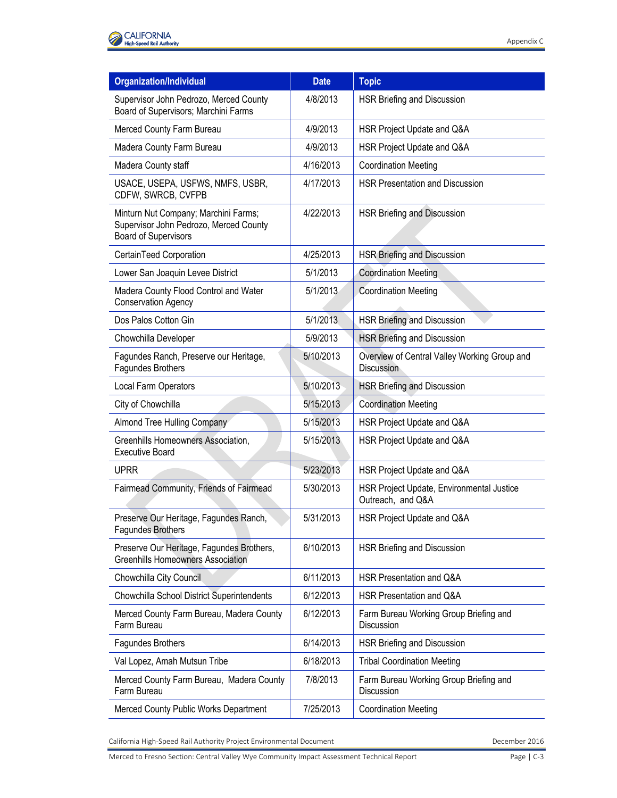| <b>Organization/Individual</b>                                                                                | <b>Date</b> | <b>Topic</b>                                                   |
|---------------------------------------------------------------------------------------------------------------|-------------|----------------------------------------------------------------|
| Supervisor John Pedrozo, Merced County<br>Board of Supervisors; Marchini Farms                                | 4/8/2013    | HSR Briefing and Discussion                                    |
| Merced County Farm Bureau                                                                                     | 4/9/2013    | HSR Project Update and Q&A                                     |
| Madera County Farm Bureau                                                                                     | 4/9/2013    | HSR Project Update and Q&A                                     |
| Madera County staff                                                                                           | 4/16/2013   | <b>Coordination Meeting</b>                                    |
| USACE, USEPA, USFWS, NMFS, USBR,<br>CDFW, SWRCB, CVFPB                                                        | 4/17/2013   | <b>HSR Presentation and Discussion</b>                         |
| Minturn Nut Company; Marchini Farms;<br>Supervisor John Pedrozo, Merced County<br><b>Board of Supervisors</b> | 4/22/2013   | <b>HSR Briefing and Discussion</b>                             |
| CertainTeed Corporation                                                                                       | 4/25/2013   | <b>HSR Briefing and Discussion</b>                             |
| Lower San Joaquin Levee District                                                                              | 5/1/2013    | <b>Coordination Meeting</b>                                    |
| Madera County Flood Control and Water<br><b>Conservation Agency</b>                                           | 5/1/2013    | <b>Coordination Meeting</b>                                    |
| Dos Palos Cotton Gin                                                                                          | 5/1/2013    | <b>HSR Briefing and Discussion</b>                             |
| Chowchilla Developer                                                                                          | 5/9/2013    | <b>HSR Briefing and Discussion</b>                             |
| Fagundes Ranch, Preserve our Heritage,<br>Fagundes Brothers                                                   | 5/10/2013   | Overview of Central Valley Working Group and<br>Discussion     |
| Local Farm Operators                                                                                          | 5/10/2013   | HSR Briefing and Discussion                                    |
| City of Chowchilla                                                                                            | 5/15/2013   | <b>Coordination Meeting</b>                                    |
| Almond Tree Hulling Company                                                                                   | 5/15/2013   | HSR Project Update and Q&A                                     |
| Greenhills Homeowners Association,<br><b>Executive Board</b>                                                  | 5/15/2013   | HSR Project Update and Q&A                                     |
| <b>UPRR</b>                                                                                                   | 5/23/2013   | HSR Project Update and Q&A                                     |
| Fairmead Community, Friends of Fairmead                                                                       | 5/30/2013   | HSR Project Update, Environmental Justice<br>Outreach, and Q&A |
| Preserve Our Heritage, Fagundes Ranch,<br><b>Fagundes Brothers</b>                                            | 5/31/2013   | HSR Project Update and Q&A                                     |
| Preserve Our Heritage, Fagundes Brothers,<br><b>Greenhills Homeowners Association</b>                         | 6/10/2013   | HSR Briefing and Discussion                                    |
| Chowchilla City Council                                                                                       | 6/11/2013   | HSR Presentation and Q&A                                       |
| Chowchilla School District Superintendents                                                                    | 6/12/2013   | HSR Presentation and Q&A                                       |
| Merced County Farm Bureau, Madera County<br>Farm Bureau                                                       | 6/12/2013   | Farm Bureau Working Group Briefing and<br>Discussion           |
| <b>Fagundes Brothers</b>                                                                                      | 6/14/2013   | HSR Briefing and Discussion                                    |
| Val Lopez, Amah Mutsun Tribe                                                                                  | 6/18/2013   | <b>Tribal Coordination Meeting</b>                             |
| Merced County Farm Bureau, Madera County<br>Farm Bureau                                                       | 7/8/2013    | Farm Bureau Working Group Briefing and<br>Discussion           |
| Merced County Public Works Department                                                                         | 7/25/2013   | <b>Coordination Meeting</b>                                    |

California High-Speed Rail Authority Project Environmental Document **December 2016** December 2016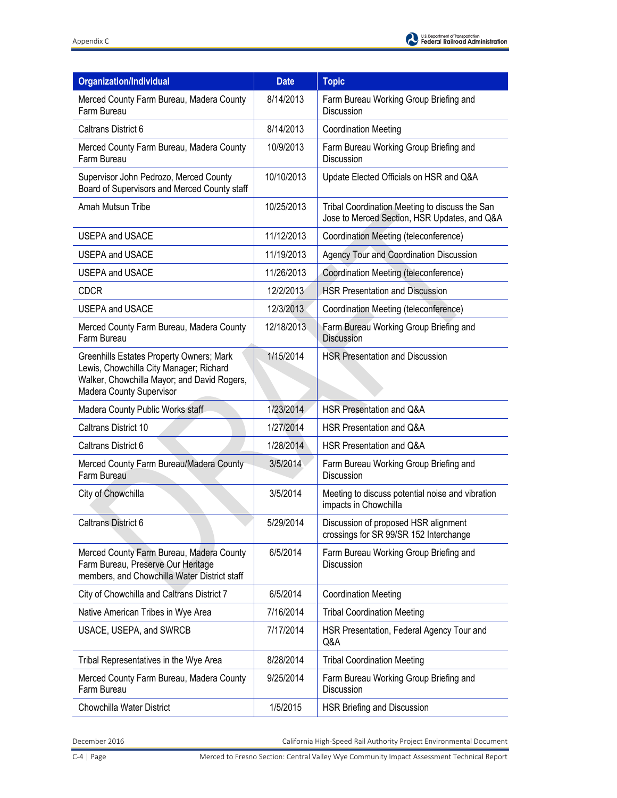| <b>Organization/Individual</b>                                                                                                                                        | <b>Date</b> | <b>Topic</b>                                                                                   |
|-----------------------------------------------------------------------------------------------------------------------------------------------------------------------|-------------|------------------------------------------------------------------------------------------------|
| Merced County Farm Bureau, Madera County<br>Farm Bureau                                                                                                               | 8/14/2013   | Farm Bureau Working Group Briefing and<br><b>Discussion</b>                                    |
| Caltrans District 6                                                                                                                                                   | 8/14/2013   | <b>Coordination Meeting</b>                                                                    |
| Merced County Farm Bureau, Madera County<br>Farm Bureau                                                                                                               | 10/9/2013   | Farm Bureau Working Group Briefing and<br><b>Discussion</b>                                    |
| Supervisor John Pedrozo, Merced County<br>Board of Supervisors and Merced County staff                                                                                | 10/10/2013  | Update Elected Officials on HSR and Q&A                                                        |
| Amah Mutsun Tribe                                                                                                                                                     | 10/25/2013  | Tribal Coordination Meeting to discuss the San<br>Jose to Merced Section, HSR Updates, and Q&A |
| <b>USEPA and USACE</b>                                                                                                                                                | 11/12/2013  | Coordination Meeting (teleconference)                                                          |
| <b>USEPA and USACE</b>                                                                                                                                                | 11/19/2013  | Agency Tour and Coordination Discussion                                                        |
| <b>USEPA and USACE</b>                                                                                                                                                | 11/26/2013  | Coordination Meeting (teleconference)                                                          |
| <b>CDCR</b>                                                                                                                                                           | 12/2/2013   | <b>HSR Presentation and Discussion</b>                                                         |
| <b>USEPA and USACE</b>                                                                                                                                                | 12/3/2013   | Coordination Meeting (teleconference)                                                          |
| Merced County Farm Bureau, Madera County<br>Farm Bureau                                                                                                               | 12/18/2013  | Farm Bureau Working Group Briefing and<br><b>Discussion</b>                                    |
| <b>Greenhills Estates Property Owners; Mark</b><br>Lewis, Chowchilla City Manager; Richard<br>Walker, Chowchilla Mayor; and David Rogers,<br>Madera County Supervisor | 1/15/2014   | <b>HSR Presentation and Discussion</b>                                                         |
| Madera County Public Works staff                                                                                                                                      | 1/23/2014   | HSR Presentation and Q&A                                                                       |
| Caltrans District 10                                                                                                                                                  | 1/27/2014   | HSR Presentation and Q&A                                                                       |
| Caltrans District 6                                                                                                                                                   | 1/28/2014   | HSR Presentation and Q&A                                                                       |
| Merced County Farm Bureau/Madera County<br>Farm Bureau                                                                                                                | 3/5/2014    | Farm Bureau Working Group Briefing and<br>Discussion                                           |
| City of Chowchilla                                                                                                                                                    | 3/5/2014    | Meeting to discuss potential noise and vibration<br>impacts in Chowchilla                      |
| <b>Caltrans District 6</b>                                                                                                                                            | 5/29/2014   | Discussion of proposed HSR alignment<br>crossings for SR 99/SR 152 Interchange                 |
| Merced County Farm Bureau, Madera County<br>Farm Bureau, Preserve Our Heritage<br>members, and Chowchilla Water District staff                                        | 6/5/2014    | Farm Bureau Working Group Briefing and<br>Discussion                                           |
| City of Chowchilla and Caltrans District 7                                                                                                                            | 6/5/2014    | <b>Coordination Meeting</b>                                                                    |
| Native American Tribes in Wye Area                                                                                                                                    | 7/16/2014   | <b>Tribal Coordination Meeting</b>                                                             |
| USACE, USEPA, and SWRCB                                                                                                                                               | 7/17/2014   | HSR Presentation, Federal Agency Tour and<br>Q&A                                               |
| Tribal Representatives in the Wye Area                                                                                                                                | 8/28/2014   | <b>Tribal Coordination Meeting</b>                                                             |
| Merced County Farm Bureau, Madera County<br>Farm Bureau                                                                                                               | 9/25/2014   | Farm Bureau Working Group Briefing and<br><b>Discussion</b>                                    |
| Chowchilla Water District                                                                                                                                             | 1/5/2015    | HSR Briefing and Discussion                                                                    |

December 2016 California High-Speed Rail Authority Project Environmental Document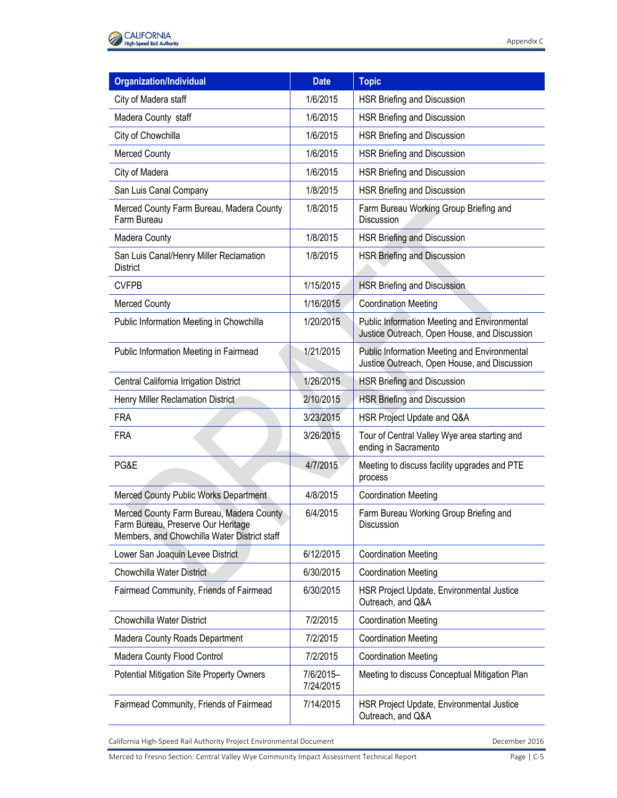| <b>Organization/Individual</b>                                                                                                 | <b>Date</b>            | <b>Topic</b>                                                                                 |
|--------------------------------------------------------------------------------------------------------------------------------|------------------------|----------------------------------------------------------------------------------------------|
| City of Madera staff                                                                                                           | 1/6/2015               | HSR Briefing and Discussion                                                                  |
| Madera County staff                                                                                                            | 1/6/2015               | HSR Briefing and Discussion                                                                  |
| City of Chowchilla                                                                                                             | 1/6/2015               | HSR Briefing and Discussion                                                                  |
| <b>Merced County</b>                                                                                                           | 1/6/2015               | HSR Briefing and Discussion                                                                  |
| City of Madera                                                                                                                 | 1/6/2015               | HSR Briefing and Discussion                                                                  |
| San Luis Canal Company                                                                                                         | 1/8/2015               | HSR Briefing and Discussion                                                                  |
| Merced County Farm Bureau, Madera County<br>Farm Bureau                                                                        | 1/8/2015               | Farm Bureau Working Group Briefing and<br>Discussion                                         |
| Madera County                                                                                                                  | 1/8/2015               | <b>HSR Briefing and Discussion</b>                                                           |
| San Luis Canal/Henry Miller Reclamation<br><b>District</b>                                                                     | 1/8/2015               | <b>HSR Briefing and Discussion</b>                                                           |
| <b>CVFPB</b>                                                                                                                   | 1/15/2015              | <b>HSR Briefing and Discussion</b>                                                           |
| <b>Merced County</b>                                                                                                           | 1/16/2015              | <b>Coordination Meeting</b>                                                                  |
| Public Information Meeting in Chowchilla                                                                                       | 1/20/2015              | Public Information Meeting and Environmental<br>Justice Outreach, Open House, and Discussion |
| Public Information Meeting in Fairmead                                                                                         | 1/21/2015              | Public Information Meeting and Environmental<br>Justice Outreach, Open House, and Discussion |
| Central California Irrigation District                                                                                         | 1/26/2015              | <b>HSR Briefing and Discussion</b>                                                           |
| Henry Miller Reclamation District                                                                                              | 2/10/2015              | <b>HSR Briefing and Discussion</b>                                                           |
| <b>FRA</b>                                                                                                                     | 3/23/2015              | HSR Project Update and Q&A                                                                   |
| <b>FRA</b>                                                                                                                     | 3/26/2015              | Tour of Central Valley Wye area starting and<br>ending in Sacramento                         |
| PG&E                                                                                                                           | 4/7/2015               | Meeting to discuss facility upgrades and PTE<br>process                                      |
| Merced County Public Works Department                                                                                          | 4/8/2015               | <b>Coordination Meeting</b>                                                                  |
| Merced County Farm Bureau, Madera County<br>Farm Bureau, Preserve Our Heritage<br>Members, and Chowchilla Water District staff | 6/4/2015               | Farm Bureau Working Group Briefing and<br>Discussion                                         |
| Lower San Joaquin Levee District                                                                                               | 6/12/2015              | <b>Coordination Meeting</b>                                                                  |
| <b>Chowchilla Water District</b>                                                                                               | 6/30/2015              | <b>Coordination Meeting</b>                                                                  |
| Fairmead Community, Friends of Fairmead                                                                                        | 6/30/2015              | HSR Project Update, Environmental Justice<br>Outreach, and Q&A                               |
| Chowchilla Water District                                                                                                      | 7/2/2015               | <b>Coordination Meeting</b>                                                                  |
| Madera County Roads Department                                                                                                 | 7/2/2015               | <b>Coordination Meeting</b>                                                                  |
| Madera County Flood Control                                                                                                    | 7/2/2015               | <b>Coordination Meeting</b>                                                                  |
| Potential Mitigation Site Property Owners                                                                                      | 7/6/2015-<br>7/24/2015 | Meeting to discuss Conceptual Mitigation Plan                                                |
| Fairmead Community, Friends of Fairmead                                                                                        | 7/14/2015              | HSR Project Update, Environmental Justice<br>Outreach, and Q&A                               |

California High-Speed Rail Authority Project Environmental Document **December 2016** December 2016

Merced to Fresno Section: Central Valley Wye Community Impact Assessment Technical Report Page | C-5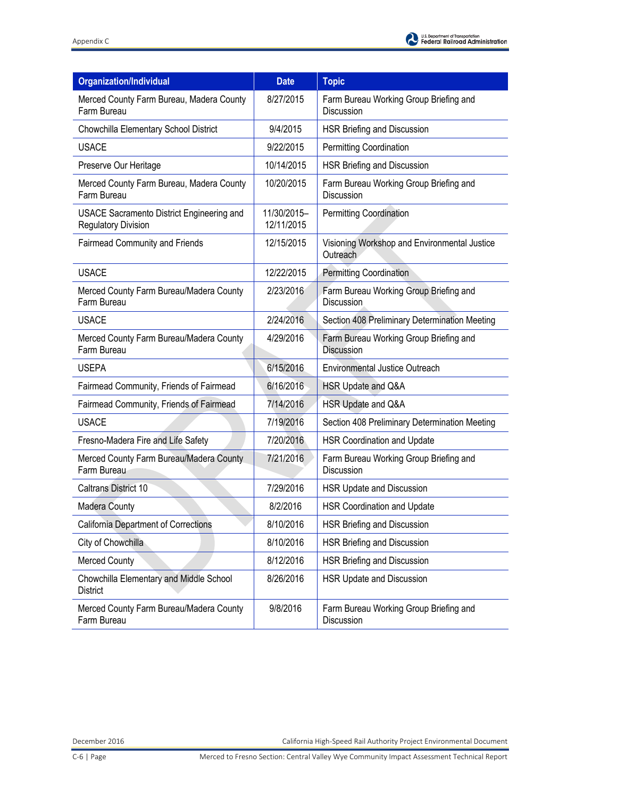| <b>Organization/Individual</b>                                                 | <b>Date</b>               | <b>Topic</b>                                                |
|--------------------------------------------------------------------------------|---------------------------|-------------------------------------------------------------|
| Merced County Farm Bureau, Madera County<br>Farm Bureau                        | 8/27/2015                 | Farm Bureau Working Group Briefing and<br>Discussion        |
| Chowchilla Elementary School District                                          | 9/4/2015                  | HSR Briefing and Discussion                                 |
| <b>USACE</b>                                                                   | 9/22/2015                 | Permitting Coordination                                     |
| Preserve Our Heritage                                                          | 10/14/2015                | HSR Briefing and Discussion                                 |
| Merced County Farm Bureau, Madera County<br>Farm Bureau                        | 10/20/2015                | Farm Bureau Working Group Briefing and<br><b>Discussion</b> |
| <b>USACE Sacramento District Engineering and</b><br><b>Regulatory Division</b> | 11/30/2015-<br>12/11/2015 | <b>Permitting Coordination</b>                              |
| <b>Fairmead Community and Friends</b>                                          | 12/15/2015                | Visioning Workshop and Environmental Justice<br>Outreach    |
| <b>USACE</b>                                                                   | 12/22/2015                | <b>Permitting Coordination</b>                              |
| Merced County Farm Bureau/Madera County<br>Farm Bureau                         | 2/23/2016                 | Farm Bureau Working Group Briefing and<br>Discussion        |
| <b>USACE</b>                                                                   | 2/24/2016                 | Section 408 Preliminary Determination Meeting               |
| Merced County Farm Bureau/Madera County<br>Farm Bureau                         | 4/29/2016                 | Farm Bureau Working Group Briefing and<br>Discussion        |
| <b>USEPA</b>                                                                   | 6/15/2016                 | <b>Environmental Justice Outreach</b>                       |
| Fairmead Community, Friends of Fairmead                                        | 6/16/2016                 | HSR Update and Q&A                                          |
| Fairmead Community, Friends of Fairmead                                        | 7/14/2016                 | HSR Update and Q&A                                          |
| <b>USACE</b>                                                                   | 7/19/2016                 | Section 408 Preliminary Determination Meeting               |
| Fresno-Madera Fire and Life Safety                                             | 7/20/2016                 | <b>HSR Coordination and Update</b>                          |
| Merced County Farm Bureau/Madera County<br>Farm Bureau                         | 7/21/2016                 | Farm Bureau Working Group Briefing and<br>Discussion        |
| <b>Caltrans District 10</b>                                                    | 7/29/2016                 | HSR Update and Discussion                                   |
| <b>Madera County</b>                                                           | 8/2/2016                  | <b>HSR Coordination and Update</b>                          |
| <b>California Department of Corrections</b>                                    | 8/10/2016                 | HSR Briefing and Discussion                                 |
| City of Chowchilla                                                             | 8/10/2016                 | HSR Briefing and Discussion                                 |
| <b>Merced County</b>                                                           | 8/12/2016                 | HSR Briefing and Discussion                                 |
| Chowchilla Elementary and Middle School<br>District                            | 8/26/2016                 | HSR Update and Discussion                                   |
| Merced County Farm Bureau/Madera County<br>Farm Bureau                         | 9/8/2016                  | Farm Bureau Working Group Briefing and<br>Discussion        |